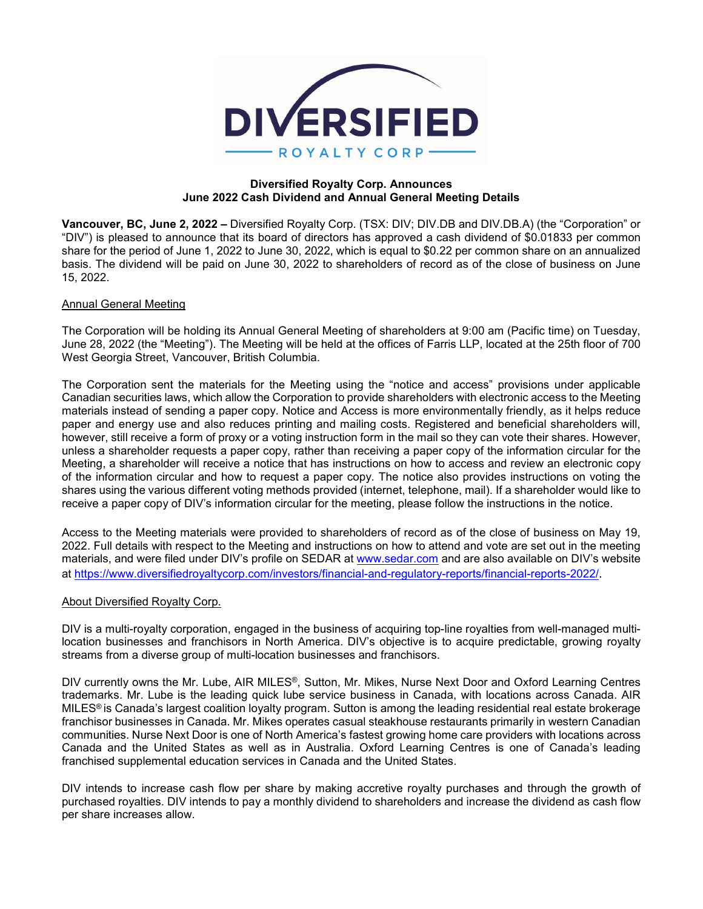

#### **Diversified Royalty Corp. Announces June 2022 Cash Dividend and Annual General Meeting Details**

**Vancouver, BC, June 2, 2022 –** Diversified Royalty Corp. (TSX: DIV; DIV.DB and DIV.DB.A) (the "Corporation" or "DIV") is pleased to announce that its board of directors has approved a cash dividend of \$0.01833 per common share for the period of June 1, 2022 to June 30, 2022, which is equal to \$0.22 per common share on an annualized basis. The dividend will be paid on June 30, 2022 to shareholders of record as of the close of business on June 15, 2022.

# Annual General Meeting

The Corporation will be holding its Annual General Meeting of shareholders at 9:00 am (Pacific time) on Tuesday, June 28, 2022 (the "Meeting"). The Meeting will be held at the offices of Farris LLP, located at the 25th floor of 700 West Georgia Street, Vancouver, British Columbia.

The Corporation sent the materials for the Meeting using the "notice and access" provisions under applicable Canadian securities laws, which allow the Corporation to provide shareholders with electronic access to the Meeting materials instead of sending a paper copy. Notice and Access is more environmentally friendly, as it helps reduce paper and energy use and also reduces printing and mailing costs. Registered and beneficial shareholders will, however, still receive a form of proxy or a voting instruction form in the mail so they can vote their shares. However, unless a shareholder requests a paper copy, rather than receiving a paper copy of the information circular for the Meeting, a shareholder will receive a notice that has instructions on how to access and review an electronic copy of the information circular and how to request a paper copy. The notice also provides instructions on voting the shares using the various different voting methods provided (internet, telephone, mail). If a shareholder would like to receive a paper copy of DIV's information circular for the meeting, please follow the instructions in the notice.

Access to the Meeting materials were provided to shareholders of record as of the close of business on May 19, 2022. Full details with respect to the Meeting and instructions on how to attend and vote are set out in the meeting materials, and were filed under DIV's profile on SEDAR at [www.sedar.com](http://www.sedar.com/) and are also available on DIV's website at<https://www.diversifiedroyaltycorp.com/investors/financial-and-regulatory-reports/financial-reports-2022/>.

#### About Diversified Royalty Corp.

DIV is a multi-royalty corporation, engaged in the business of acquiring top-line royalties from well-managed multilocation businesses and franchisors in North America. DIV's objective is to acquire predictable, growing royalty streams from a diverse group of multi-location businesses and franchisors.

DIV currently owns the Mr. Lube, AIR MILES®, Sutton, Mr. Mikes, Nurse Next Door and Oxford Learning Centres trademarks. Mr. Lube is the leading quick lube service business in Canada, with locations across Canada. AIR MILES® is Canada's largest coalition loyalty program. Sutton is among the leading residential real estate brokerage franchisor businesses in Canada. Mr. Mikes operates casual steakhouse restaurants primarily in western Canadian communities. Nurse Next Door is one of North America's fastest growing home care providers with locations across Canada and the United States as well as in Australia. Oxford Learning Centres is one of Canada's leading franchised supplemental education services in Canada and the United States.

DIV intends to increase cash flow per share by making accretive royalty purchases and through the growth of purchased royalties. DIV intends to pay a monthly dividend to shareholders and increase the dividend as cash flow per share increases allow.